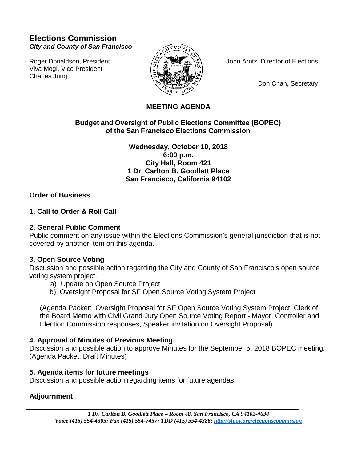# **Elections Commission** *City and County of San Francisco*

Viva Mogi, Vice President Charles Jung



Roger Donaldson, President  $\langle \xi \rangle$   $\langle \xi \rangle$  John Arntz, Director of Elections

Don Chan, Secretary

## **MEETING AGENDA**

## **Budget and Oversight of Public Elections Committee (BOPEC) of the San Francisco Elections Commission**

**Wednesday, October 10, 2018 6:00 p.m. City Hall, Room 421 1 Dr. Carlton B. Goodlett Place San Francisco, California 94102**

### **Order of Business**

## **1. Call to Order & Roll Call**

## **2. General Public Comment**

Public comment on any issue within the Elections Commission's general jurisdiction that is not covered by another item on this agenda.

### **3. Open Source Voting**

Discussion and possible action regarding the City and County of San Francisco's open source voting system project.

- a) Update on Open Source Project
- b) Oversight Proposal for SF Open Source Voting System Project

(Agenda Packet: Oversight Proposal for SF Open Source Voting System Project, Clerk of the Board Memo with Civil Grand Jury Open Source Voting Report - Mayor, Controller and Election Commission responses, Speaker invitation on Oversight Proposal)

### **4. Approval of Minutes of Previous Meeting**

Discussion and possible action to approve Minutes for the September 5, 2018 BOPEC meeting. (Agenda Packet: Draft Minutes)

## **5. Agenda items for future meetings**

Discussion and possible action regarding items for future agendas.

## **Adjournment**